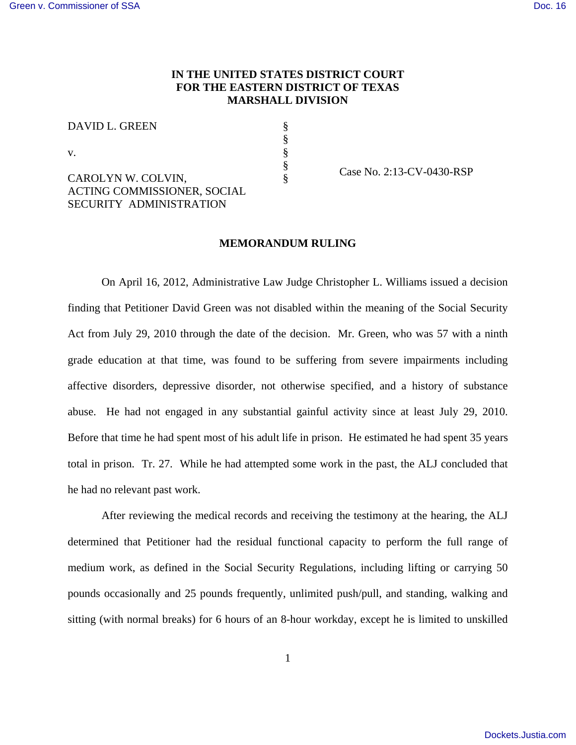# **IN THE UNITED STATES DISTRICT COURT FOR THE EASTERN DISTRICT OF TEXAS MARSHALL DIVISION**

§ § § §

DAVID L. GREEN

v.

CAROLYN W. COLVIN, ACTING COMMISSIONER, SOCIAL SECURITY ADMINISTRATION

 $\frac{8}{8}$  Case No. 2:13-CV-0430-RSP

### **MEMORANDUM RULING**

On April 16, 2012, Administrative Law Judge Christopher L. Williams issued a decision finding that Petitioner David Green was not disabled within the meaning of the Social Security Act from July 29, 2010 through the date of the decision. Mr. Green, who was 57 with a ninth grade education at that time, was found to be suffering from severe impairments including affective disorders, depressive disorder, not otherwise specified, and a history of substance abuse. He had not engaged in any substantial gainful activity since at least July 29, 2010. Before that time he had spent most of his adult life in prison. He estimated he had spent 35 years total in prison. Tr. 27. While he had attempted some work in the past, the ALJ concluded that he had no relevant past work.

After reviewing the medical records and receiving the testimony at the hearing, the ALJ determined that Petitioner had the residual functional capacity to perform the full range of medium work, as defined in the Social Security Regulations, including lifting or carrying 50 pounds occasionally and 25 pounds frequently, unlimited push/pull, and standing, walking and sitting (with normal breaks) for 6 hours of an 8-hour workday, except he is limited to unskilled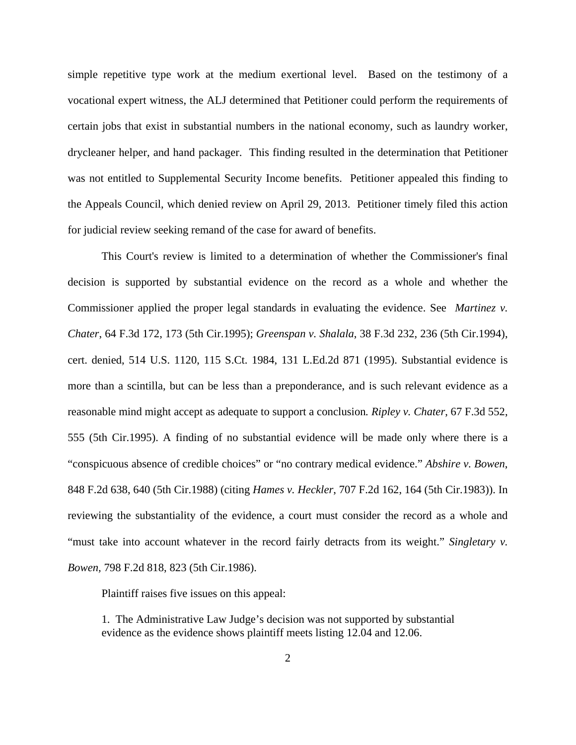simple repetitive type work at the medium exertional level. Based on the testimony of a vocational expert witness, the ALJ determined that Petitioner could perform the requirements of certain jobs that exist in substantial numbers in the national economy, such as laundry worker, drycleaner helper, and hand packager. This finding resulted in the determination that Petitioner was not entitled to Supplemental Security Income benefits. Petitioner appealed this finding to the Appeals Council, which denied review on April 29, 2013. Petitioner timely filed this action for judicial review seeking remand of the case for award of benefits.

This Court's review is limited to a determination of whether the Commissioner's final decision is supported by substantial evidence on the record as a whole and whether the Commissioner applied the proper legal standards in evaluating the evidence. See *Martinez v. Chater*, 64 F.3d 172, 173 (5th Cir.1995); *Greenspan v. Shalala*, 38 F.3d 232, 236 (5th Cir.1994), cert. denied, 514 U.S. 1120, 115 S.Ct. 1984, 131 L.Ed.2d 871 (1995). Substantial evidence is more than a scintilla, but can be less than a preponderance, and is such relevant evidence as a reasonable mind might accept as adequate to support a conclusion*. Ripley v. Chater*, 67 F.3d 552, 555 (5th Cir.1995). A finding of no substantial evidence will be made only where there is a "conspicuous absence of credible choices" or "no contrary medical evidence." *Abshire v. Bowen*, 848 F.2d 638, 640 (5th Cir.1988) (citing *Hames v. Heckler*, 707 F.2d 162, 164 (5th Cir.1983)). In reviewing the substantiality of the evidence, a court must consider the record as a whole and "must take into account whatever in the record fairly detracts from its weight." *Singletary v. Bowen,* 798 F.2d 818, 823 (5th Cir.1986).

Plaintiff raises five issues on this appeal:

1. The Administrative Law Judge's decision was not supported by substantial evidence as the evidence shows plaintiff meets listing 12.04 and 12.06.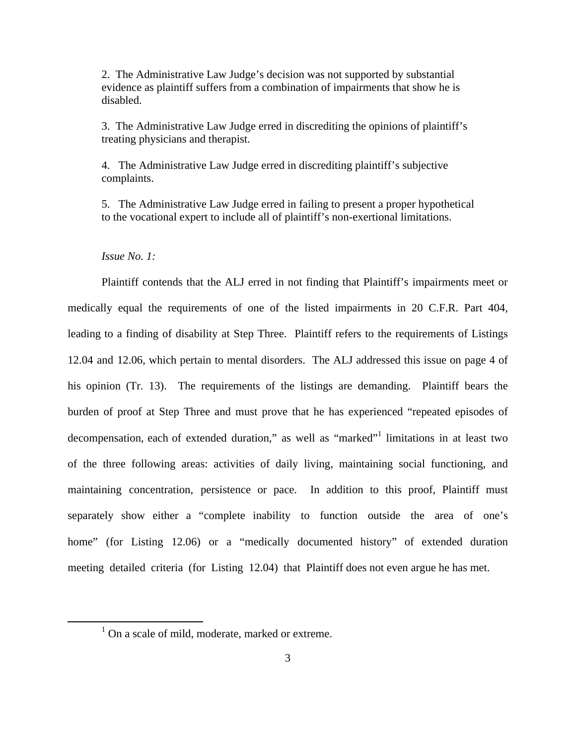2. The Administrative Law Judge's decision was not supported by substantial evidence as plaintiff suffers from a combination of impairments that show he is disabled.

3. The Administrative Law Judge erred in discrediting the opinions of plaintiff's treating physicians and therapist.

4. The Administrative Law Judge erred in discrediting plaintiff's subjective complaints.

5. The Administrative Law Judge erred in failing to present a proper hypothetical to the vocational expert to include all of plaintiff's non-exertional limitations.

## *Issue No. 1:*

Plaintiff contends that the ALJ erred in not finding that Plaintiff's impairments meet or medically equal the requirements of one of the listed impairments in 20 C.F.R. Part 404, leading to a finding of disability at Step Three. Plaintiff refers to the requirements of Listings 12.04 and 12.06, which pertain to mental disorders. The ALJ addressed this issue on page 4 of his opinion (Tr. 13). The requirements of the listings are demanding. Plaintiff bears the burden of proof at Step Three and must prove that he has experienced "repeated episodes of decompensation, each of extended duration," as well as "marked"<sup>1</sup> limitations in at least two of the three following areas: activities of daily living, maintaining social functioning, and maintaining concentration, persistence or pace. In addition to this proof, Plaintiff must separately show either a "complete inability to function outside the area of one's home" (for Listing 12.06) or a "medically documented history" of extended duration meeting detailed criteria (for Listing 12.04) that Plaintiff does not even argue he has met.

<sup>&</sup>lt;sup>1</sup> On a scale of mild, moderate, marked or extreme.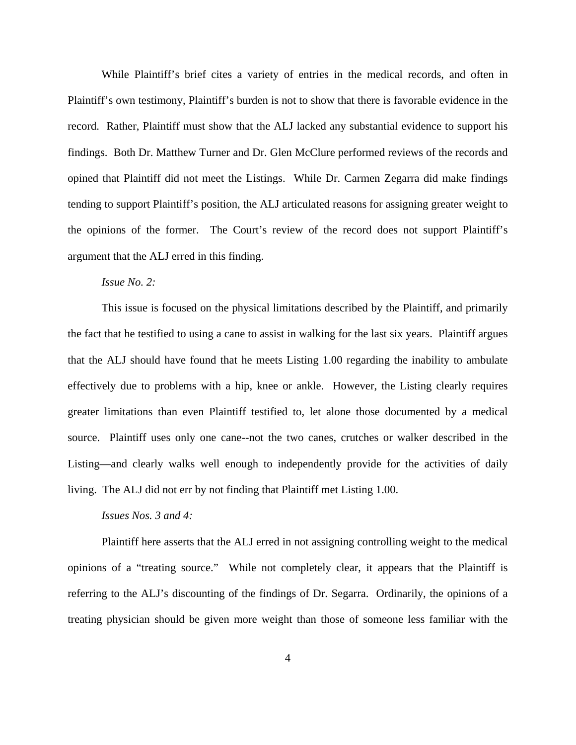While Plaintiff's brief cites a variety of entries in the medical records, and often in Plaintiff's own testimony, Plaintiff's burden is not to show that there is favorable evidence in the record. Rather, Plaintiff must show that the ALJ lacked any substantial evidence to support his findings. Both Dr. Matthew Turner and Dr. Glen McClure performed reviews of the records and opined that Plaintiff did not meet the Listings. While Dr. Carmen Zegarra did make findings tending to support Plaintiff's position, the ALJ articulated reasons for assigning greater weight to the opinions of the former. The Court's review of the record does not support Plaintiff's argument that the ALJ erred in this finding.

## *Issue No. 2:*

This issue is focused on the physical limitations described by the Plaintiff, and primarily the fact that he testified to using a cane to assist in walking for the last six years. Plaintiff argues that the ALJ should have found that he meets Listing 1.00 regarding the inability to ambulate effectively due to problems with a hip, knee or ankle. However, the Listing clearly requires greater limitations than even Plaintiff testified to, let alone those documented by a medical source. Plaintiff uses only one cane--not the two canes, crutches or walker described in the Listing—and clearly walks well enough to independently provide for the activities of daily living. The ALJ did not err by not finding that Plaintiff met Listing 1.00.

## *Issues Nos. 3 and 4:*

Plaintiff here asserts that the ALJ erred in not assigning controlling weight to the medical opinions of a "treating source." While not completely clear, it appears that the Plaintiff is referring to the ALJ's discounting of the findings of Dr. Segarra. Ordinarily, the opinions of a treating physician should be given more weight than those of someone less familiar with the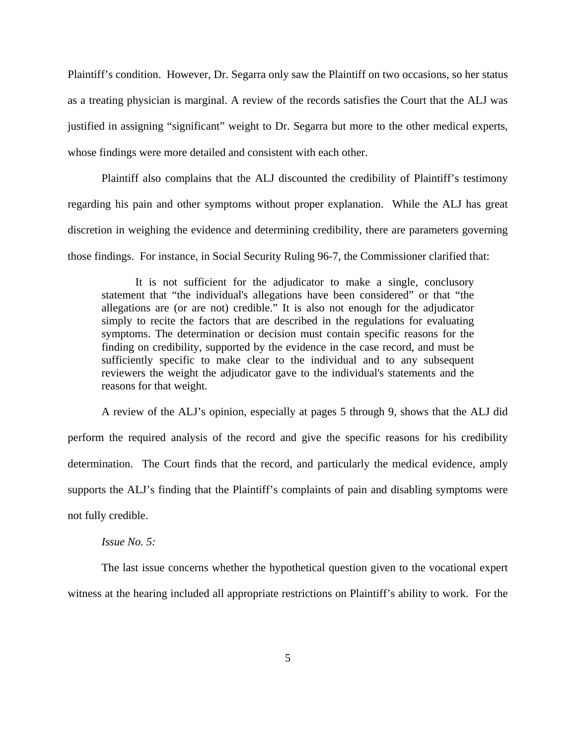Plaintiff's condition. However, Dr. Segarra only saw the Plaintiff on two occasions, so her status as a treating physician is marginal. A review of the records satisfies the Court that the ALJ was justified in assigning "significant" weight to Dr. Segarra but more to the other medical experts, whose findings were more detailed and consistent with each other.

Plaintiff also complains that the ALJ discounted the credibility of Plaintiff's testimony regarding his pain and other symptoms without proper explanation. While the ALJ has great discretion in weighing the evidence and determining credibility, there are parameters governing those findings. For instance, in Social Security Ruling 96-7, the Commissioner clarified that:

It is not sufficient for the adjudicator to make a single, conclusory statement that "the individual's allegations have been considered" or that "the allegations are (or are not) credible." It is also not enough for the adjudicator simply to recite the factors that are described in the regulations for evaluating symptoms. The determination or decision must contain specific reasons for the finding on credibility, supported by the evidence in the case record, and must be sufficiently specific to make clear to the individual and to any subsequent reviewers the weight the adjudicator gave to the individual's statements and the reasons for that weight.

A review of the ALJ's opinion, especially at pages 5 through 9, shows that the ALJ did perform the required analysis of the record and give the specific reasons for his credibility determination. The Court finds that the record, and particularly the medical evidence, amply supports the ALJ's finding that the Plaintiff's complaints of pain and disabling symptoms were not fully credible.

#### *Issue No. 5:*

The last issue concerns whether the hypothetical question given to the vocational expert witness at the hearing included all appropriate restrictions on Plaintiff's ability to work. For the